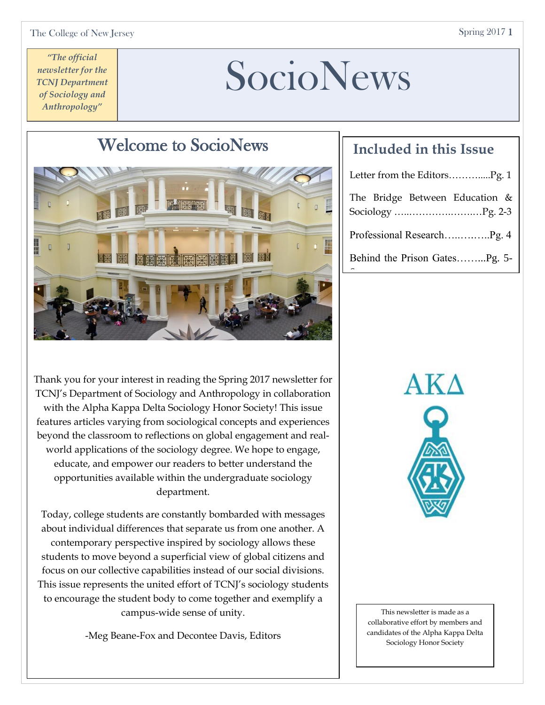The College of New Jersey

*"The official newsletter for the TCNJ Department of Sociology and Anthropology"*

# SocioNews

### Welcome to SocioNews



Thank you for your interest in reading the Spring 2017 newsletter for TCNJ's Department of Sociology and Anthropology in collaboration with the Alpha Kappa Delta Sociology Honor Society! This issue features articles varying from sociological concepts and experiences beyond the classroom to reflections on global engagement and realworld applications of the sociology degree. We hope to engage, educate, and empower our readers to better understand the opportunities available within the undergraduate sociology department.

Today, college students are constantly bombarded with messages about individual differences that separate us from one another. A contemporary perspective inspired by sociology allows these students to move beyond a superficial view of global citizens and focus on our collective capabilities instead of our social divisions. This issue represents the united effort of TCNJ's sociology students to encourage the student body to come together and exemplify a campus-wide sense of unity.

-Meg Beane-Fox and Decontee Davis, Editors

#### **Included in this Issue**

| The Bridge Between Education & |
|--------------------------------|
| Professional ResearchPg. 4     |
| Behind the Prison GatesPg. 5-  |
|                                |



This newsletter is made as a collaborative effort by members and candidates of the Alpha Kappa Delta Sociology Honor Society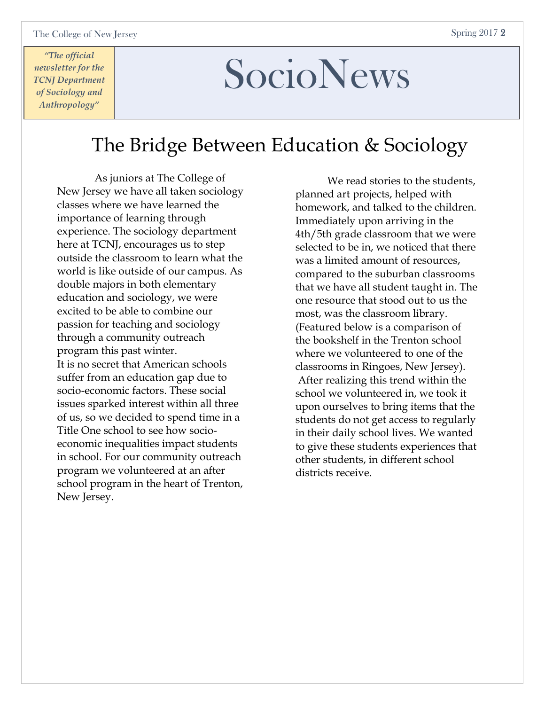# SocioNews

### The Bridge Between Education & Sociology

 As juniors at The College of New Jersey we have all taken sociology classes where we have learned the importance of learning through experience. The sociology department here at TCNJ, encourages us to step outside the classroom to learn what the world is like outside of our campus. As double majors in both elementary education and sociology, we were excited to be able to combine our passion for teaching and sociology through a community outreach program this past winter. It is no secret that American schools suffer from an education gap due to socio-economic factors. These social issues sparked interest within all three of us, so we decided to spend time in a Title One school to see how socioeconomic inequalities impact students in school. For our community outreach program we volunteered at an after school program in the heart of Trenton, New Jersey.

We read stories to the students, planned art projects, helped with homework, and talked to the children. Immediately upon arriving in the 4th/5th grade classroom that we were selected to be in, we noticed that there was a limited amount of resources, compared to the suburban classrooms that we have all student taught in. The one resource that stood out to us the most, was the classroom library. (Featured below is a comparison of the bookshelf in the Trenton school where we volunteered to one of the classrooms in Ringoes, New Jersey). After realizing this trend within the school we volunteered in, we took it upon ourselves to bring items that the students do not get access to regularly in their daily school lives. We wanted to give these students experiences that other students, in different school districts receive.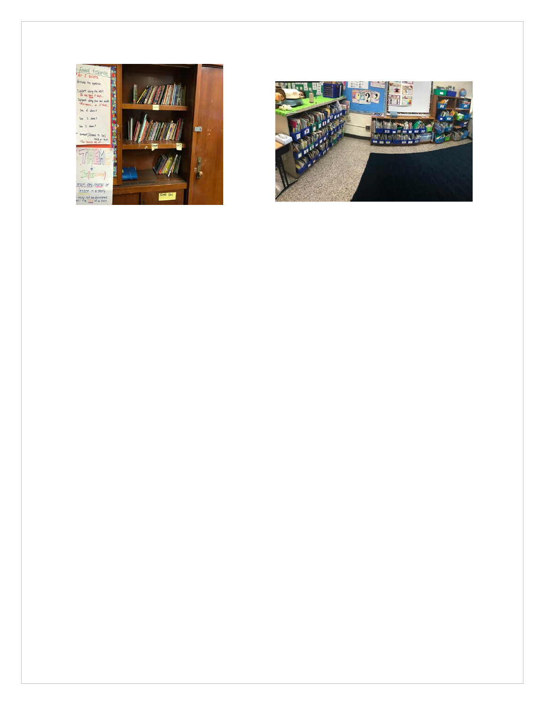

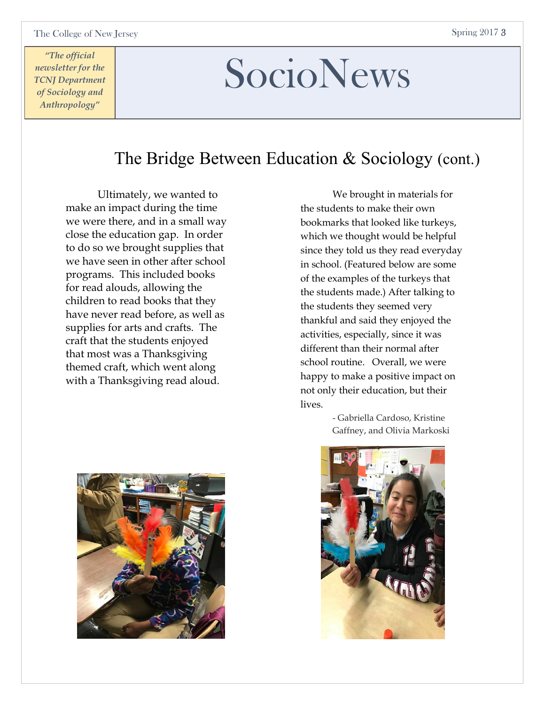### SocioNews

#### The Bridge Between Education & Sociology (cont.)

Ultimately, we wanted to make an impact during the time we were there, and in a small way close the education gap. In order to do so we brought supplies that we have seen in other after school programs. This included books for read alouds, allowing the children to read books that they have never read before, as well as supplies for arts and crafts. The craft that the students enjoyed that most was a Thanksgiving themed craft, which went along with a Thanksgiving read aloud.



We brought in materials for the students to make their own bookmarks that looked like turkeys, which we thought would be helpful since they told us they read everyday in school. (Featured below are some of the examples of the turkeys that the students made.) After talking to the students they seemed very thankful and said they enjoyed the activities, especially, since it was different than their normal after school routine. Overall, we were happy to make a positive impact on not only their education, but their lives.

> - Gabriella Cardoso, Kristine Gaffney, and Olivia Markoski

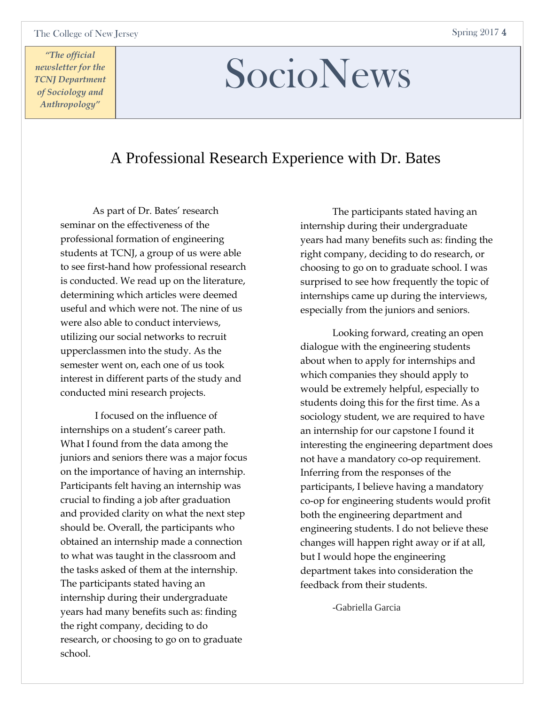## SocioNews

#### A Professional Research Experience with Dr. Bates

As part of Dr. Bates' research seminar on the effectiveness of the professional formation of engineering students at TCNJ, a group of us were able to see first-hand how professional research is conducted. We read up on the literature, determining which articles were deemed useful and which were not. The nine of us were also able to conduct interviews. utilizing our social networks to recruit upperclassmen into the study. As the semester went on, each one of us took interest in different parts of the study and conducted mini research projects.

I focused on the influence of internships on a student's career path. What I found from the data among the juniors and seniors there was a major focus on the importance of having an internship. Participants felt having an internship was crucial to finding a job after graduation and provided clarity on what the next step should be. Overall, the participants who obtained an internship made a connection to what was taught in the classroom and the tasks asked of them at the internship. The participants stated having an internship during their undergraduate years had many benefits such as: finding the right company, deciding to do research, or choosing to go on to graduate school.

The participants stated having an internship during their undergraduate years had many benefits such as: finding the right company, deciding to do research, or choosing to go on to graduate school. I was surprised to see how frequently the topic of internships came up during the interviews, especially from the juniors and seniors.

Looking forward, creating an open dialogue with the engineering students about when to apply for internships and which companies they should apply to would be extremely helpful, especially to students doing this for the first time. As a sociology student, we are required to have an internship for our capstone I found it interesting the engineering department does not have a mandatory co-op requirement. Inferring from the responses of the participants, I believe having a mandatory co-op for engineering students would profit both the engineering department and engineering students. I do not believe these changes will happen right away or if at all, but I would hope the engineering department takes into consideration the feedback from their students.

-Gabriella Garcia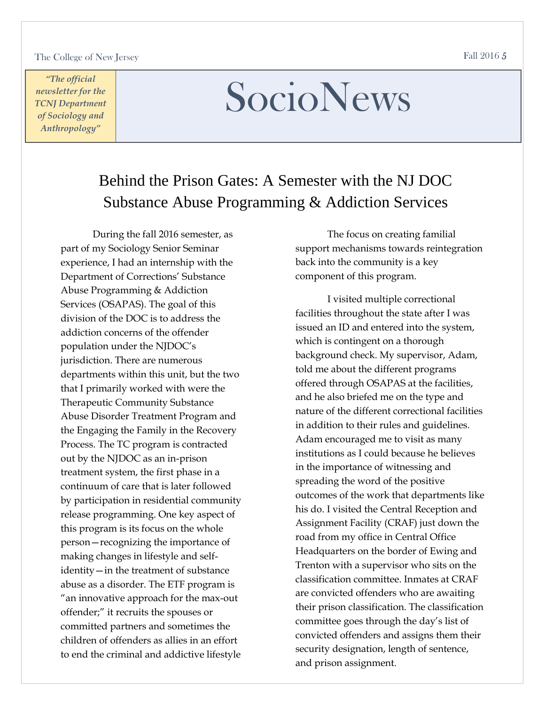The College of New Jersey Fall 2016 5

*"The official newsletter for the TCNJ Department of Sociology and Anthropology"*

# SocioNews

### Behind the Prison Gates: A Semester with the NJ DOC Substance Abuse Programming & Addiction Services

During the fall 2016 semester, as part of my Sociology Senior Seminar experience, I had an internship with the Department of Corrections' Substance Abuse Programming & Addiction Services (OSAPAS). The goal of this division of the DOC is to address the addiction concerns of the offender population under the NJDOC's jurisdiction. There are numerous departments within this unit, but the two that I primarily worked with were the Therapeutic Community Substance Abuse Disorder Treatment Program and the Engaging the Family in the Recovery Process. The TC program is contracted out by the NJDOC as an in-prison treatment system, the first phase in a continuum of care that is later followed by participation in residential community release programming. One key aspect of this program is its focus on the whole person—recognizing the importance of making changes in lifestyle and selfidentity—in the treatment of substance abuse as a disorder. The ETF program is "an innovative approach for the max-out offender;" it recruits the spouses or committed partners and sometimes the children of offenders as allies in an effort to end the criminal and addictive lifestyle

The focus on creating familial support mechanisms towards reintegration back into the community is a key component of this program.

I visited multiple correctional facilities throughout the state after I was issued an ID and entered into the system, which is contingent on a thorough background check. My supervisor, Adam, told me about the different programs offered through OSAPAS at the facilities, and he also briefed me on the type and nature of the different correctional facilities in addition to their rules and guidelines. Adam encouraged me to visit as many institutions as I could because he believes in the importance of witnessing and spreading the word of the positive outcomes of the work that departments like his do. I visited the Central Reception and Assignment Facility (CRAF) just down the road from my office in Central Office Headquarters on the border of Ewing and Trenton with a supervisor who sits on the classification committee. Inmates at CRAF are convicted offenders who are awaiting their prison classification. The classification committee goes through the day's list of convicted offenders and assigns them their security designation, length of sentence, and prison assignment.